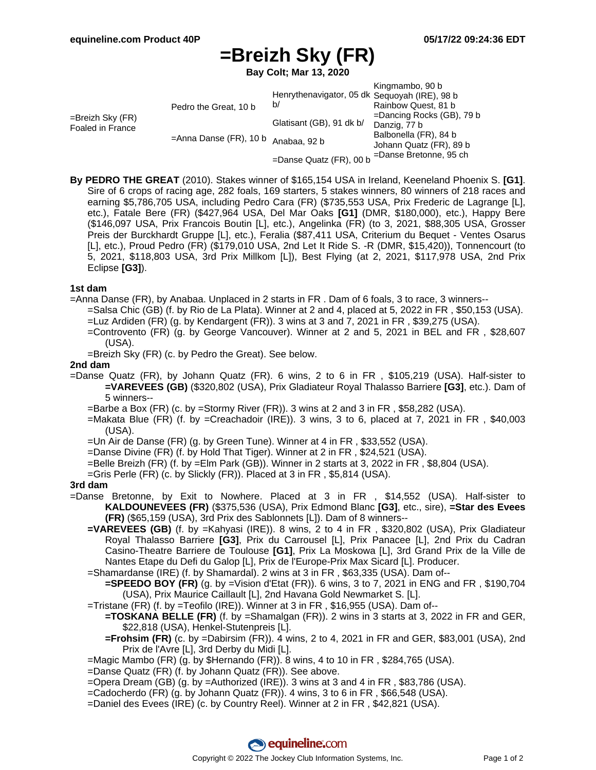# **=Breizh Sky (FR)**

**Bay Colt; Mar 13, 2020**

|                                         |                                                              |                                               | Kingmambo, 90 b              |
|-----------------------------------------|--------------------------------------------------------------|-----------------------------------------------|------------------------------|
|                                         |                                                              | Henrythenavigator, 05 dk Sequoyah (IRE), 98 b |                              |
| $=$ Breizh Sky (FR)<br>Foaled in France | Pedro the Great, 10 b<br>=Anna Danse (FR), 10 b Anabaa, 92 b | b/                                            | Rainbow Quest, 81 b          |
|                                         |                                                              |                                               | $=$ Dancing Rocks (GB), 79 b |
|                                         |                                                              | Glatisant (GB), 91 dk b/                      | Danzig, 77 b                 |
|                                         |                                                              |                                               | Balbonella (FR), 84 b        |
|                                         |                                                              |                                               | Johann Quatz (FR), 89 b      |
|                                         |                                                              | =Danse Quatz (FR), 00 b                       | =Danse Bretonne, 95 ch       |

**By PEDRO THE GREAT** (2010). Stakes winner of \$165,154 USA in Ireland, Keeneland Phoenix S. **[G1]**. Sire of 6 crops of racing age, 282 foals, 169 starters, 5 stakes winners, 80 winners of 218 races and earning \$5,786,705 USA, including Pedro Cara (FR) (\$735,553 USA, Prix Frederic de Lagrange [L], etc.), Fatale Bere (FR) (\$427,964 USA, Del Mar Oaks **[G1]** (DMR, \$180,000), etc.), Happy Bere (\$146,097 USA, Prix Francois Boutin [L], etc.), Angelinka (FR) (to 3, 2021, \$88,305 USA, Grosser Preis der Burckhardt Gruppe [L], etc.), Feralia (\$87,411 USA, Criterium du Bequet - Ventes Osarus [L], etc.), Proud Pedro (FR) (\$179,010 USA, 2nd Let It Ride S. -R (DMR, \$15,420)), Tonnencourt (to 5, 2021, \$118,803 USA, 3rd Prix Millkom [L]), Best Flying (at 2, 2021, \$117,978 USA, 2nd Prix Eclipse **[G3]**).

## **1st dam**

=Anna Danse (FR), by Anabaa. Unplaced in 2 starts in FR . Dam of 6 foals, 3 to race, 3 winners--

- =Salsa Chic (GB) (f. by Rio de La Plata). Winner at 2 and 4, placed at 5, 2022 in FR , \$50,153 (USA). =Luz Ardiden (FR) (g. by Kendargent (FR)). 3 wins at 3 and 7, 2021 in FR , \$39,275 (USA).
	- =Controvento (FR) (g. by George Vancouver). Winner at 2 and 5, 2021 in BEL and FR , \$28,607 (USA).

=Breizh Sky (FR) (c. by Pedro the Great). See below.

#### **2nd dam**

- =Danse Quatz (FR), by Johann Quatz (FR). 6 wins, 2 to 6 in FR , \$105,219 (USA). Half-sister to **=VAREVEES (GB)** (\$320,802 (USA), Prix Gladiateur Royal Thalasso Barriere **[G3]**, etc.). Dam of 5 winners--
	- =Barbe a Box (FR) (c. by =Stormy River (FR)). 3 wins at 2 and 3 in FR, \$58,282 (USA).
	- $=$ Makata Blue (FR) (f. by  $=$ Creachadoir (IRE)). 3 wins, 3 to 6, placed at 7, 2021 in FR, \$40,003 (USA).
	- =Un Air de Danse (FR) (g. by Green Tune). Winner at 4 in FR , \$33,552 (USA).
	- =Danse Divine (FR) (f. by Hold That Tiger). Winner at 2 in FR , \$24,521 (USA).
	- =Belle Breizh (FR) (f. by =Elm Park (GB)). Winner in 2 starts at 3, 2022 in FR , \$8,804 (USA).
	- =Gris Perle (FR) (c. by Slickly (FR)). Placed at 3 in FR , \$5,814 (USA).

## **3rd dam**

- =Danse Bretonne, by Exit to Nowhere. Placed at 3 in FR , \$14,552 (USA). Half-sister to **KALDOUNEVEES (FR)** (\$375,536 (USA), Prix Edmond Blanc **[G3]**, etc., sire), **=Star des Evees (FR)** (\$65,159 (USA), 3rd Prix des Sablonnets [L]). Dam of 8 winners--
	- **=VAREVEES (GB)** (f. by =Kahyasi (IRE)). 8 wins, 2 to 4 in FR , \$320,802 (USA), Prix Gladiateur Royal Thalasso Barriere **[G3]**, Prix du Carrousel [L], Prix Panacee [L], 2nd Prix du Cadran Casino-Theatre Barriere de Toulouse **[G1]**, Prix La Moskowa [L], 3rd Grand Prix de la Ville de Nantes Etape du Defi du Galop [L], Prix de l'Europe-Prix Max Sicard [L]. Producer.
	- =Shamardanse (IRE) (f. by Shamardal). 2 wins at 3 in FR , \$63,335 (USA). Dam of--
		- **=SPEEDO BOY (FR)** (g. by =Vision d'Etat (FR)). 6 wins, 3 to 7, 2021 in ENG and FR , \$190,704 (USA), Prix Maurice Caillault [L], 2nd Havana Gold Newmarket S. [L].
	- =Tristane (FR) (f. by =Teofilo (IRE)). Winner at 3 in FR , \$16,955 (USA). Dam of--
		- **=TOSKANA BELLE (FR)** (f. by =Shamalgan (FR)). 2 wins in 3 starts at 3, 2022 in FR and GER, \$22,818 (USA), Henkel-Stutenpreis [L].
		- **=Frohsim (FR)** (c. by =Dabirsim (FR)). 4 wins, 2 to 4, 2021 in FR and GER, \$83,001 (USA), 2nd Prix de l'Avre [L], 3rd Derby du Midi [L].
	- =Magic Mambo (FR) (g. by \$Hernando (FR)). 8 wins, 4 to 10 in FR , \$284,765 (USA).
	- =Danse Quatz (FR) (f. by Johann Quatz (FR)). See above.
	- =Opera Dream (GB) (g. by =Authorized (IRE)). 3 wins at 3 and 4 in FR , \$83,786 (USA).
	- =Cadocherdo (FR) (g. by Johann Quatz (FR)). 4 wins, 3 to 6 in FR , \$66,548 (USA).
	- =Daniel des Evees (IRE) (c. by Country Reel). Winner at 2 in FR , \$42,821 (USA).